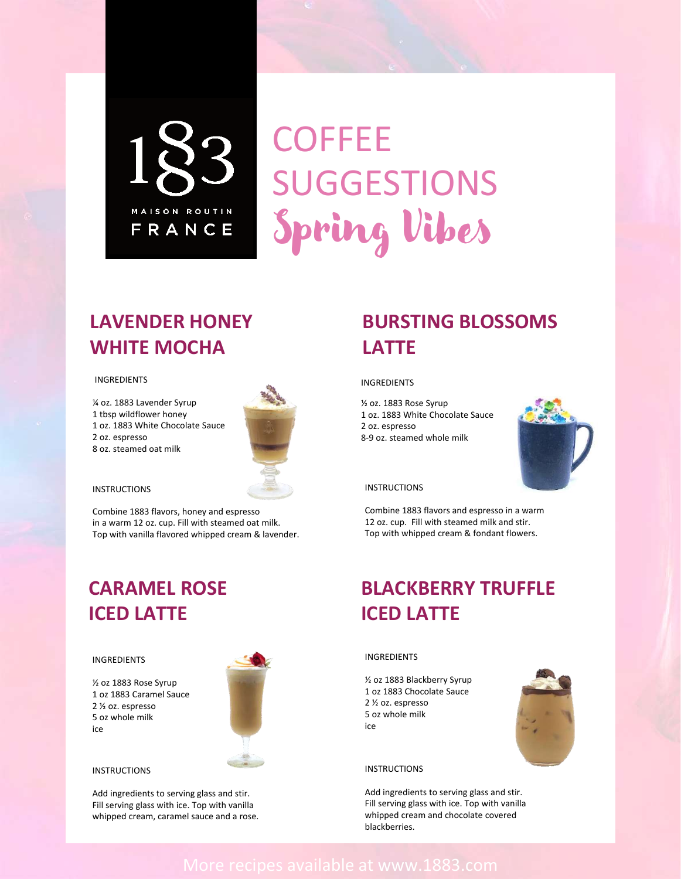

# **COFFEE** SUGGESTIONS Spring Vibes

### More recipes available at www.1883.com

### **LAVENDER HONEY WHITE MOCHA**

#### INGREDIENTS

¼ oz. 1883 Lavender Syrup 1 tbsp wildflower honey 1 oz. 1883 White Chocolate Sauce 2 oz. espresso 8 oz. steamed oat milk



Combine 1883 flavors, honey and espresso in a warm 12 oz. cup. Fill with steamed oat milk. Top with vanilla flavored whipped cream & lavender.

### **BURSTING BLOSSOMS LATTE**

#### **INGREDIENTS**

½ oz. 1883 Rose Syrup 1 oz. 1883 White Chocolate Sauce 2 oz. espresso 8-9 oz. steamed whole milk



#### **INSTRUCTIONS**



Combine 1883 flavors and espresso in a warm 12 oz. cup. Fill with steamed milk and stir. Top with whipped cream & fondant flowers.

## **CARAMEL ROSE ICED LATTE**

#### INGREDIENTS

½ oz 1883 Rose Syrup 1 oz 1883 Caramel Sauce 2 ½ oz. espresso 5 oz whole milk ice



#### **INSTRUCTIONS**

## **BLACKBERRY TRUFFLE ICED LATTE**

#### INGREDIENTS

½ oz 1883 Blackberry Syrup 1 oz 1883 Chocolate Sauce 2 ½ oz. espresso 5 oz whole milk ice

#### **INSTRUCTIONS**

Add ingredients to serving glass and stir. Fill serving glass with ice. Top with vanilla whipped cream and chocolate covered blackberries.

Add ingredients to serving glass and stir. Fill serving glass with ice. Top with vanilla whipped cream, caramel sauce and a rose.

#### **INSTRUCTIONS**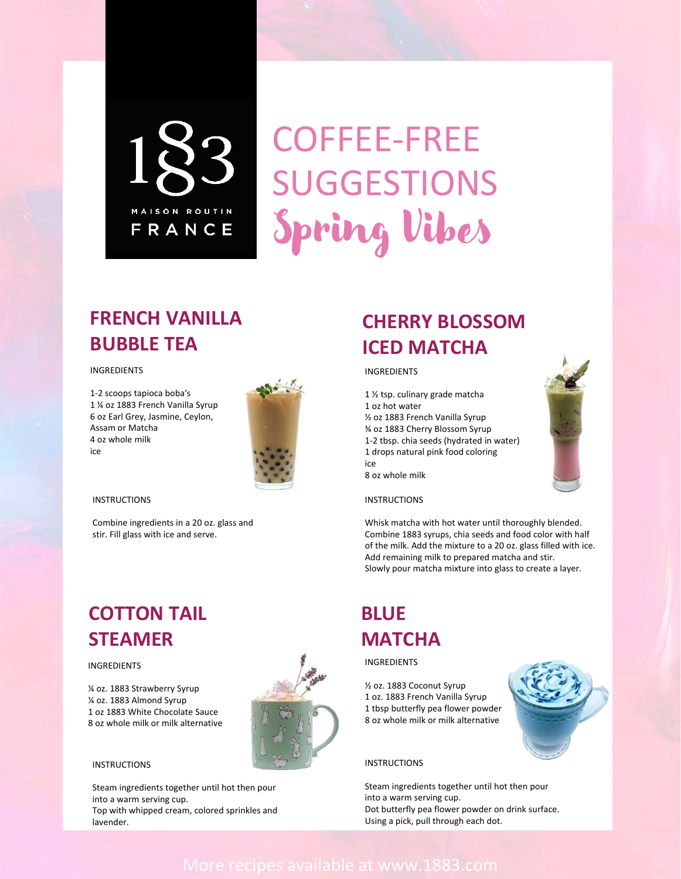

# COFFEE-FREE SUGGESTIONS Spring Vibes

### More recipes available at www.1883.com

### **FRENCH VANILLA BUBBLE TEA**

#### INGREDIENTS

1-2 scoops tapioca boba's 1 ¼ oz 1883 French Vanilla Syrup 6 oz Earl Grey, Jasmine, Ceylon, Assam or Matcha 4 oz whole milk ice



Combine ingredients in a 20 oz. glass and stir. Fill glass with ice and serve.

## **CHERRY BLOSSOM ICED MATCHA**

#### INGREDIENTS

1 ½ tsp. culinary grade matcha 1 oz hot water ½ oz 1883 French Vanilla Syrup ¾ oz 1883 Cherry Blossom Syrup 1-2 tbsp. chia seeds (hydrated in water) 1 drops natural pink food coloring ice 8 oz whole milk

#### **INSTRUCTIONS**

Whisk matcha with hot water until thoroughly blended. Combine 1883 syrups, chia seeds and food color with half of the milk. Add the mixture to a 20 oz. glass filled with ice. Add remaining milk to prepared matcha and stir. Slowly pour matcha mixture into glass to create a layer.

### **COTTON TAIL STEAMER**

#### INGREDIENTS

¼ oz. 1883 Strawberry Syrup ¼ oz. 1883 Almond Syrup 1 oz 1883 White Chocolate Sauce 8 oz whole milk or milk alternative

#### **INSTRUCTIONS**

### **BLUE MATCHA**

#### INGREDIENTS

½ oz. 1883 Coconut Syrup 1 oz. 1883 French Vanilla Syrup 1 tbsp butterfly pea flower powder 8 oz whole milk or milk alternative

#### **INSTRUCTIONS**

Steam ingredients together until hot then pour into a warm serving cup. Dot butterfly pea flower powder on drink surface. Using a pick, pull through each dot.

Steam ingredients together until hot then pour into a warm serving cup. Top with whipped cream, colored sprinkles and lavender.





#### **INSTRUCTIONS**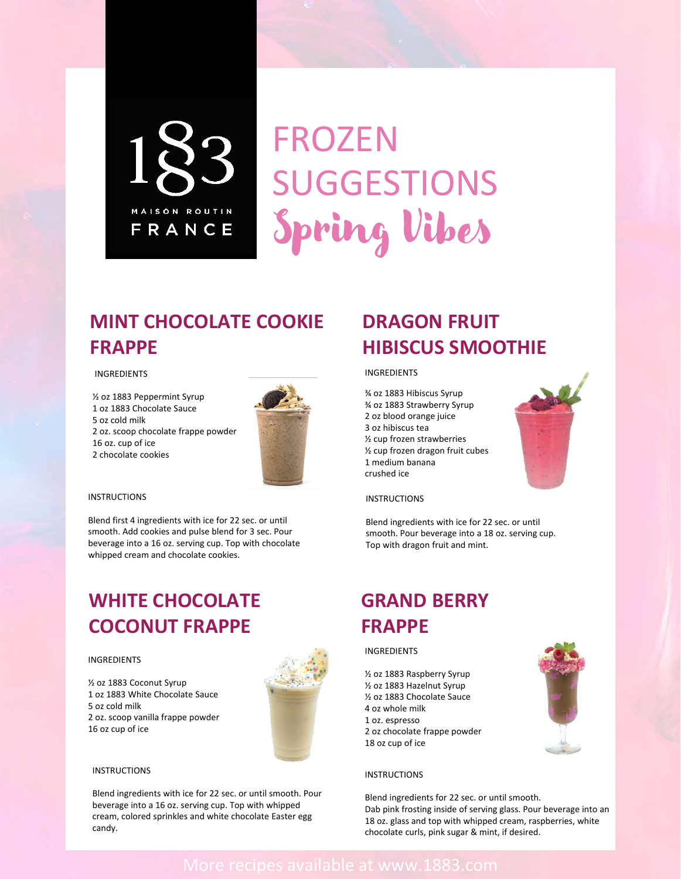

FROZEN SUGGESTIONS Spring Vibes

### More recipes available at www.1883.com



### **MINT CHOCOLATE COOKIE FRAPPE**

#### INGREDIENTS

½ oz 1883 Peppermint Syrup 1 oz 1883 Chocolate Sauce 5 oz cold milk 2 oz. scoop chocolate frappe powder 16 oz. cup of ice 2 chocolate cookies



### **DRAGON FRUIT HIBISCUS SMOOTHIE**

#### INSTRUCTIONS

Blend first 4 ingredients with ice for 22 sec. or until smooth. Add cookies and pulse blend for 3 sec. Pour beverage into a 16 oz. serving cup. Top with chocolate whipped cream and chocolate cookies.

#### INGREDIENTS

¾ oz 1883 Hibiscus Syrup ¾ oz 1883 Strawberry Syrup 2 oz blood orange juice 3 oz hibiscus tea ½ cup frozen strawberries ½ cup frozen dragon fruit cubes 1 medium banana crushed ice





Blend ingredients with ice for 22 sec. or until smooth. Pour beverage into a 18 oz. serving cup. Top with dragon fruit and mint.

### **WHITE CHOCOLATE COCONUT FRAPPE**

#### INGREDIENTS

½ oz 1883 Coconut Syrup 1 oz 1883 White Chocolate Sauce 5 oz cold milk 2 oz. scoop vanilla frappe powder 16 oz cup of ice

#### **INSTRUCTIONS**

# **GRAND BERRY FRAPPE**

#### INGREDIENTS

½ oz 1883 Raspberry Syrup ½ oz 1883 Hazelnut Syrup ½ oz 1883 Chocolate Sauce 4 oz whole milk 1 oz. espresso 2 oz chocolate frappe powder 18 oz cup of ice

#### **INSTRUCTIONS**

Blend ingredients for 22 sec. or until smooth. Dab pink frosting inside of serving glass. Pour beverage into an 18 oz. glass and top with whipped cream, raspberries, white chocolate curls, pink sugar & mint, if desired.

Blend ingredients with ice for 22 sec. or until smooth. Pour beverage into a 16 oz. serving cup. Top with whipped cream, colored sprinkles and white chocolate Easter egg candy.

#### **INSTRUCTIONS**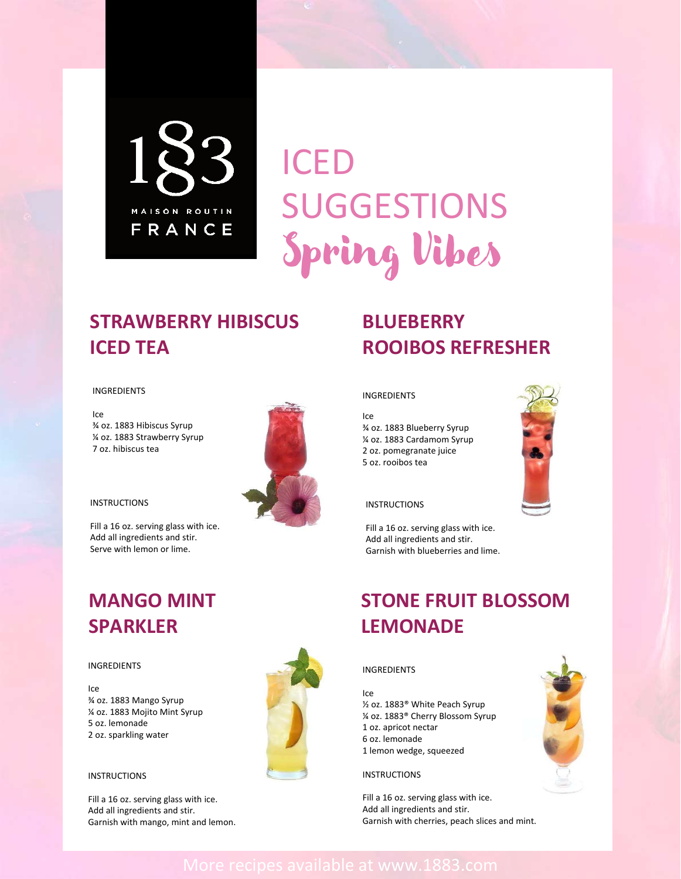

# ICED SUGGESTIONS Spring Vibes

### More recipes available at www.1883.com

### **STRAWBERRY HIBISCUS ICED TEA**

#### INGREDIENTS

Ice ¾ oz. 1883 Hibiscus Syrup ¼ oz. 1883 Strawberry Syrup 7 oz. hibiscus tea



Fill a 16 oz. serving glass with ice. Add all ingredients and stir. Serve with lemon or lime.



#### **INSTRUCTIONS**



## **BLUEBERRY ROOIBOS REFRESHER**

#### INGREDIENTS

Ice ¾ oz. 1883 Blueberry Syrup ¼ oz. 1883 Cardamom Syrup 2 oz. pomegranate juice 5 oz. rooibos tea



#### **INSTRUCTIONS**

Fill a 16 oz. serving glass with ice. Add all ingredients and stir. Garnish with blueberries and lime.

### **MANGO MINT SPARKLER**

#### INGREDIENTS

Ice ¾ oz. 1883 Mango Syrup ¼ oz. 1883 Mojito Mint Syrup 5 oz. lemonade 2 oz. sparkling water

#### **INSTRUCTIONS**

### **STONE FRUIT BLOSSOM LEMONADE**

#### INGREDIENTS

#### Ice

½ oz. 1883® White Peach Syrup ¼ oz. 1883® Cherry Blossom Syrup 1 oz. apricot nectar 6 oz. lemonade 1 lemon wedge, squeezed

#### **INSTRUCTIONS**

Fill a 16 oz. serving glass with ice. Add all ingredients and stir. Garnish with cherries, peach slices and mint.



Fill a 16 oz. serving glass with ice. Add all ingredients and stir. Garnish with mango, mint and lemon.